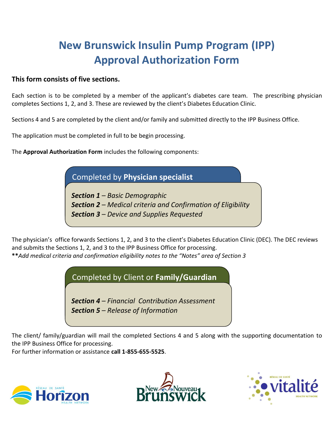#### **This form consists of five sections.**

Each section is to be completed by a member of the applicant's diabetes care team. The prescribing physician completes Sections 1, 2, and 3. These are reviewed by the client's Diabetes Education Clinic.

Sections 4 and 5 are completed by the client and/or family and submitted directly to the IPP Business Office.

The application must be completed in full to be begin processing.

The **Approval Authorization Form** includes the following components:

### Completed by **Physician specialist**

*Section 1 – Basic Demographic Section 2 – Medical criteria and Confirmation of Eligibility Section 3 – Device and Supplies Requested*

The physician's office forwards Sections 1, 2, and 3 to the client's Diabetes Education Clinic (DEC). The DEC reviews and submits the Sections 1, 2, and 3 to the IPP Business Office for processing. **\*\****Add medical criteria and confirmation eligibility notes to the "Notes" area of Section 3*

### Completed by Client or **Family/Guardian**

*Section 4 – Financial Contribution Assessment Section 5 – Release of Information*

The client/ family/guardian will mail the completed Sections 4 and 5 along with the supporting documentation to the IPP Business Office for processing.

For further information or assistance **call 1-855-655-5525**.





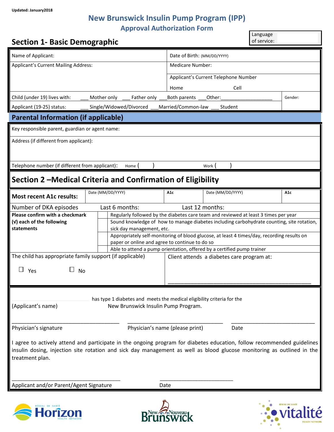| <b>Section 1- Basic Demographic</b>                                                                                                                                                                                                                                  |                                                                        |                                                                                                                                              |                                            | Language<br>of service: |  |
|----------------------------------------------------------------------------------------------------------------------------------------------------------------------------------------------------------------------------------------------------------------------|------------------------------------------------------------------------|----------------------------------------------------------------------------------------------------------------------------------------------|--------------------------------------------|-------------------------|--|
| Name of Applicant:                                                                                                                                                                                                                                                   |                                                                        | Date of Birth: (MM/DD/YYYY)                                                                                                                  |                                            |                         |  |
| <b>Applicant's Current Mailing Address:</b>                                                                                                                                                                                                                          |                                                                        | <b>Medicare Number:</b>                                                                                                                      |                                            |                         |  |
|                                                                                                                                                                                                                                                                      |                                                                        | Applicant's Current Telephone Number                                                                                                         |                                            |                         |  |
|                                                                                                                                                                                                                                                                      |                                                                        | Home                                                                                                                                         | Cell                                       |                         |  |
| Child (under 19) lives with:                                                                                                                                                                                                                                         | Mother only<br>Father only                                             | Both parents                                                                                                                                 | Other:                                     | Gender:                 |  |
| Applicant (19-25) status:                                                                                                                                                                                                                                            | Single/Widowed/Divorced                                                | Married/Common-law                                                                                                                           | Student                                    |                         |  |
| <b>Parental Information (if applicable)</b>                                                                                                                                                                                                                          |                                                                        |                                                                                                                                              |                                            |                         |  |
| Key responsible parent, guardian or agent name:                                                                                                                                                                                                                      |                                                                        |                                                                                                                                              |                                            |                         |  |
| Address (if different from applicant):                                                                                                                                                                                                                               |                                                                        |                                                                                                                                              |                                            |                         |  |
|                                                                                                                                                                                                                                                                      |                                                                        |                                                                                                                                              |                                            |                         |  |
| Telephone number (if different from applicant):                                                                                                                                                                                                                      | Home                                                                   |                                                                                                                                              | Work (                                     |                         |  |
|                                                                                                                                                                                                                                                                      |                                                                        |                                                                                                                                              |                                            |                         |  |
|                                                                                                                                                                                                                                                                      | Section 2 - Medical Criteria and Confirmation of Eligibility           |                                                                                                                                              |                                            |                         |  |
| <b>Most recent A1c results:</b>                                                                                                                                                                                                                                      | Date (MM/DD/YYYY)                                                      | A <sub>1</sub> c                                                                                                                             | Date (MM/DD/YYYY)                          | A <sub>1</sub> c        |  |
| Number of DKA episodes                                                                                                                                                                                                                                               | Last 6 months:                                                         |                                                                                                                                              | Last 12 months:                            |                         |  |
| Please confirm with a checkmark                                                                                                                                                                                                                                      |                                                                        | Regularly followed by the diabetes care team and reviewed at least 3 times per year                                                          |                                            |                         |  |
| (v) each of the following<br>statements<br>sick day management, etc.                                                                                                                                                                                                 |                                                                        | Sound knowledge of how to manage diabetes including carbohydrate counting, site rotation,                                                    |                                            |                         |  |
|                                                                                                                                                                                                                                                                      |                                                                        | Appropriately self-monitoring of blood glucose, at least 4 times/day, recording results on<br>paper or online and agree to continue to do so |                                            |                         |  |
|                                                                                                                                                                                                                                                                      | Able to attend a pump orientation, offered by a certified pump trainer |                                                                                                                                              |                                            |                         |  |
| The child has appropriate family support (if applicable)                                                                                                                                                                                                             |                                                                        |                                                                                                                                              | Client attends a diabetes care program at: |                         |  |
| Yes<br>No                                                                                                                                                                                                                                                            |                                                                        |                                                                                                                                              |                                            |                         |  |
|                                                                                                                                                                                                                                                                      |                                                                        |                                                                                                                                              |                                            |                         |  |
| has type 1 diabetes and meets the medical eligibility criteria for the<br>(Applicant's name)<br>New Brunswick Insulin Pump Program.<br>Physician's signature<br>Physician's name (please print)<br>Date                                                              |                                                                        |                                                                                                                                              |                                            |                         |  |
|                                                                                                                                                                                                                                                                      |                                                                        |                                                                                                                                              |                                            |                         |  |
| I agree to actively attend and participate in the ongoing program for diabetes education, follow recommended guidelines<br>insulin dosing, injection site rotation and sick day management as well as blood glucose monitoring as outlined in the<br>treatment plan. |                                                                        |                                                                                                                                              |                                            |                         |  |
| Applicant and/or Parent/Agent Signature<br>Date                                                                                                                                                                                                                      |                                                                        |                                                                                                                                              |                                            |                         |  |
|                                                                                                                                                                                                                                                                      |                                                                        |                                                                                                                                              |                                            |                         |  |





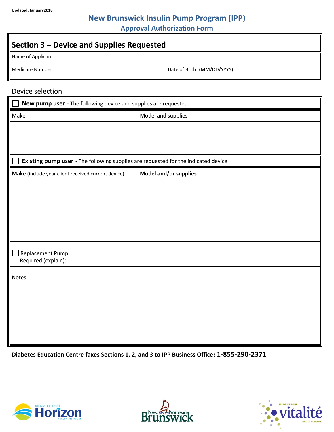**Section 3 – Device and Supplies Requested** Name of Applicant: Medicare Number:  $\vert$  Date of Birth: (MM/DD/YYYY)

#### Device selection

| New pump user - The following device and supplies are requested                    |                       |  |  |  |
|------------------------------------------------------------------------------------|-----------------------|--|--|--|
| Make                                                                               | Model and supplies    |  |  |  |
|                                                                                    |                       |  |  |  |
|                                                                                    |                       |  |  |  |
|                                                                                    |                       |  |  |  |
| Existing pump user - The following supplies are requested for the indicated device |                       |  |  |  |
| Make (include year client received current device)                                 | Model and/or supplies |  |  |  |
|                                                                                    |                       |  |  |  |
|                                                                                    |                       |  |  |  |
|                                                                                    |                       |  |  |  |
|                                                                                    |                       |  |  |  |
|                                                                                    |                       |  |  |  |
|                                                                                    |                       |  |  |  |
| Replacement Pump                                                                   |                       |  |  |  |
| Required (explain):                                                                |                       |  |  |  |
| <b>Notes</b>                                                                       |                       |  |  |  |
|                                                                                    |                       |  |  |  |
|                                                                                    |                       |  |  |  |
|                                                                                    |                       |  |  |  |
|                                                                                    |                       |  |  |  |
|                                                                                    |                       |  |  |  |
|                                                                                    |                       |  |  |  |

**Diabetes Education Centre faxes Sections 1, 2, and 3 to IPP Business Office: 1-855-290-2371**





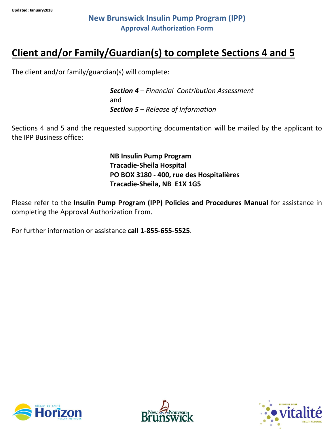## **Client and/or Family/Guardian(s) to complete Sections 4 and 5**

The client and/or family/guardian(s) will complete:

*Section 4 – Financial Contribution Assessment* and *Section 5 – Release of Information*

Sections 4 and 5 and the requested supporting documentation will be mailed by the applicant to the IPP Business office:

> **NB Insulin Pump Program Tracadie-Sheila Hospital PO BOX 3180 - 400, rue des Hospitalières Tracadie-Sheila, NB E1X 1G5**

Please refer to the **Insulin Pump Program (IPP) Policies and Procedures Manual** for assistance in completing the Approval Authorization From.

For further information or assistance **call 1-855-655-5525**.





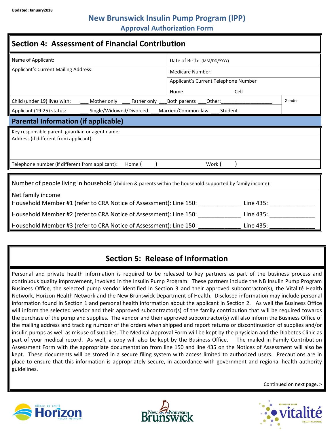### **New Brunswick Insulin Pump Program (IPP)**

**Approval Authorization Form**

| <b>Section 4: Assessment of Financial Contribution</b>                                                                          |                                      |        |  |  |  |
|---------------------------------------------------------------------------------------------------------------------------------|--------------------------------------|--------|--|--|--|
| Name of Applicant:                                                                                                              | Date of Birth: (MM/DD/YYYY)          |        |  |  |  |
| <b>Applicant's Current Mailing Address:</b>                                                                                     | Medicare Number:                     |        |  |  |  |
|                                                                                                                                 | Applicant's Current Telephone Number |        |  |  |  |
|                                                                                                                                 | Home<br>Cell                         |        |  |  |  |
| Child (under 19) lives with:<br>Mother only<br>Father only                                                                      | Both parents<br>Other:               | Gender |  |  |  |
| Single/Widowed/Divorced<br>Applicant (19-25) status:                                                                            | Married/Common-law<br>Student        |        |  |  |  |
| <b>Parental Information (if applicable)</b>                                                                                     |                                      |        |  |  |  |
| Key responsible parent, guardian or agent name:                                                                                 |                                      |        |  |  |  |
| Address (if different from applicant):                                                                                          |                                      |        |  |  |  |
| Telephone number (if different from applicant):<br>Home (<br>Work (                                                             |                                      |        |  |  |  |
| Number of people living in household (children & parents within the household supported by family income):<br>Net family income |                                      |        |  |  |  |
| Household Member #1 (refer to CRA Notice of Assessment): Line 150:                               Line 435:                      |                                      |        |  |  |  |
| Household Member #2 (refer to CRA Notice of Assessment): Line 150:<br>Line 435:                                                 |                                      |        |  |  |  |
| Household Member #3 (refer to CRA Notice of Assessment): Line 150:                                                              | Line 435:                            |        |  |  |  |

### **Section 5: Release of Information**

Personal and private health information is required to be released to key partners as part of the business process and continuous quality improvement, involved in the Insulin Pump Program. These partners include the NB Insulin Pump Program Business Office, the selected pump vendor identified in Section 3 and their approved subcontractor(s), the Vitalité Health Network, Horizon Health Network and the New Brunswick Department of Health. Disclosed information may include personal information found in Section 1 and personal health information about the applicant in Section 2. As well the Business Office will inform the selected vendor and their approved subcontractor(s) of the family contribution that will be required towards the purchase of the pump and supplies. The vendor and their approved subcontractor(s) will also inform the Business Office of the mailing address and tracking number of the orders when shipped and report returns or discontinuation of supplies and/or insulin pumps as well as misuse of supplies. The Medical Approval Form will be kept by the physician and the Diabetes Clinic as part of your medical record. As well, a copy will also be kept by the Business Office. The mailed in Family Contribution Assessment Form with the appropriate documentation from line 150 and line 435 on the Notices of Assessment will also be kept. These documents will be stored in a secure filing system with access limited to authorized users. Precautions are in place to ensure that this information is appropriately secure, in accordance with government and regional health authority guidelines.







Continued on next page. >